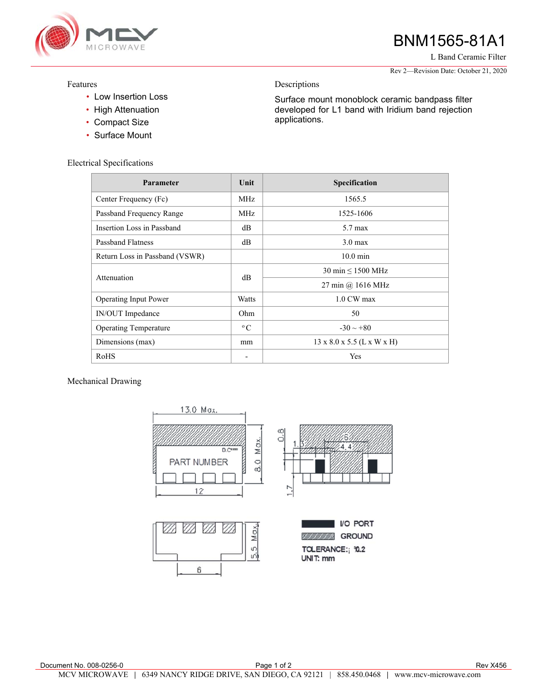

# BNM1565-81A1

L Band Ceramic Filter

Rev 2—Revision Date: October 21, 2020

### Features

- Low Insertion Loss
- High Attenuation
- Compact Size
- Surface Mount

## Electrical Specifications

| Parameter                      | Unit         | Specification                          |
|--------------------------------|--------------|----------------------------------------|
| Center Frequency (Fc)          | MHz          | 1565.5                                 |
| Passband Frequency Range       | MHz          | 1525-1606                              |
| Insertion Loss in Passband     | dB           | $5.7 \text{ max}$                      |
| <b>Passband Flatness</b>       | dB           | $3.0 \text{ max}$                      |
| Return Loss in Passband (VSWR) |              | $10.0 \text{ min}$                     |
| Attenuation                    | dB           | $30 \text{ min} \leq 1500 \text{ MHz}$ |
|                                |              | 27 min @ 1616 MHz                      |
| Operating Input Power          | Watts        | $1.0 \text{ CW max}$                   |
| IN/OUT Impedance               | Ohm          | 50                                     |
| <b>Operating Temperature</b>   | $^{\circ}$ C | $-30 \sim +80$                         |
| Dimensions (max)               | mm           | $13 \times 8.0 \times 5.5$ (L x W x H) |
| RoHS                           |              | Yes                                    |

Descriptions

applications.

Surface mount monoblock ceramic bandpass filter developed for L1 band with Iridium band rejection

Mechanical Drawing